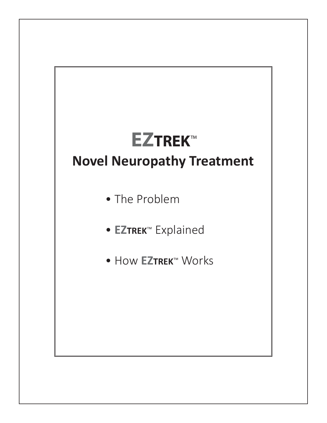# **EZTREK**™

## **Novel Neuropathy Treatment**

- The Problem
- **EZTREK**™ Explained
- How **EZTREK**™ Works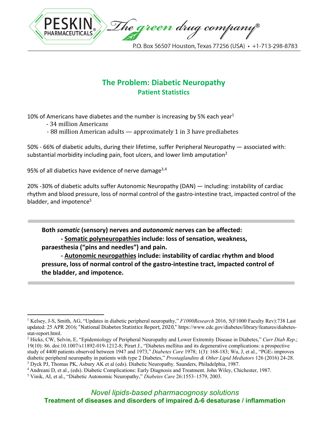

#### **The Problem: Diabetic Neuropathy Patient Statistics**

10% of Americans have diabetes and the number is increasing by 5% each year<sup>1</sup>

- 34 million Americans
- 88 million American adults approximately 1 in 3 have prediabetes

50% - 66% of diabetic adults, during their lifetime, suffer Peripheral Neuropathy — associated with: substantial morbidity including pain, foot ulcers, and lower limb amputation<sup>2</sup>

95% of all diabetics have evidence of nerve damage $3,4$ 

20% -30% of diabetic adults suffer Autonomic Neuropathy (DAN) — including: instability of cardiac rhythm and blood pressure, loss of normal control of the gastro-intestine tract, impacted control of the bladder, and impotence<sup>5</sup>

**Both** *somatic* **(sensory) nerves and** *autonomic* **nerves can be affected: - Somatic polyneuropathies include: loss of sensation, weakness, paraesthesia ("pins and needles") and pain.** 

**- Autonomic neuropathies include: instability of cardiac rhythm and blood pressure, loss of normal control of the gastro-intestine tract, impacted control of the bladder, and impotence.** 

<sup>1</sup> Kelsey, J-S, Smith, AG, "Updates in diabetic peripheral neuropathy," *F1000Research* 2016, 5(F1000 Faculty Rev):738 Last updated: 25 APR 2016; "National Diabetes Statistics Report, 2020," https://www.cdc.gov/diabetes/library/features/diabetesstat-report.html.

<sup>2</sup> Hicks, CW, Selvin, E, "Epidemiology of Peripheral Neuropathy and Lower Extremity Disease in Diabetes," *Curr Diab Rep*.; 19(10): 86. doi:10.1007/s11892-019-1212-8; Pirart J., "Diabetes mellitus and its degenerative complications: a prospective study of 4400 patients observed between 1947 and 1973," *Diabetes Care* 1978; 1(3): 168-183; Wu, J, et al., "PGE1 improves diabetic peripheral neuropathy in patients with type 2 Diabetes," *Prostaglandins & Other Lipid Mediators* 126 (2016) 24-28. <sup>3</sup> Dyck PJ, Thomas PK, Asbury AK et al (eds). Diabetic Neuropathy. Saunders, Philadelphia, 1987.

<sup>&</sup>lt;sup>4</sup> Andreani D, et al., (eds). Diabetic Complications: Early Diagnosis and Treatment. John Wiley, Chichester, 1987.

<sup>5</sup> Vinik, AI, et al., "Diabetic Autonomic Neuropathy," *Diabetes Care* 26:1553–1579, 2003.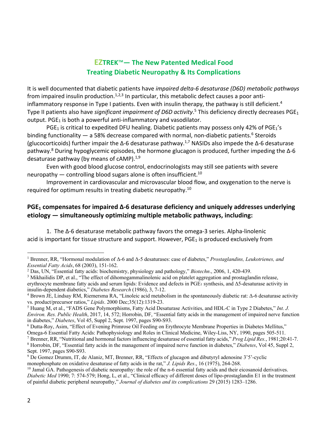#### **EZTREK**™**— The New Patented Medical Food Treating Diabetic Neuropathy & Its Complications**

It is well documented that diabetic patients have *impaired delta-6 desaturase (D6D) metabolic pathways* from impaired insulin production.<sup>1,2,3</sup> In particular, this metabolic defect causes a poor antiinflammatory response in Type I patients. Even with insulin therapy, the pathway is still deficient.<sup>4</sup> Type II patients also have *significant impairment of D6D activity*.<sup>5</sup> This deficiency directly decreases PGE<sub>1</sub> output.  $PGE<sub>1</sub>$  is both a powerful anti-inflammatory and vasodilator.

PGE<sub>1</sub> is critical to expedited DFU healing. Diabetic patients may possess only 42% of PGE<sub>1</sub>'s binding functionality  $-$  a 58% decrease compared with normal, non-diabetic patients.<sup>6</sup> Steroids (glucocorticoids) further impair the  $\Delta$ -6 desaturase pathway.<sup>1,7</sup> NASIDs also impede the  $\Delta$ -6 desaturase pathway.8 During hypoglycemic episodes, the hormone glucagon is produced, further impeding the Δ-6 desaturase pathway (by means of  $cAMP$ ).<sup>1,9</sup>

Even with good blood glucose control, endocrinologists may still see patients with severe neuropathy  $-$  controlling blood sugars alone is often insufficient.<sup>10</sup>

Improvement in cardiovascular and microvascular blood flow, and oxygenation to the nerve is required for optimum results in treating diabetic neuropathy.<sup>10</sup>

#### **PGE1 compensates for impaired Δ-6 desaturase deficiency and uniquely addresses underlying etiology — simultaneously optimizing multiple metabolic pathways, including:**

1. The Δ-6 desaturase metabolic pathway favors the omega-3 series. Alpha-linolenic acid is important for tissue structure and support. However,  $PGE_1$  is produced exclusively from

<sup>6</sup> Dutta-Roy, Asim, "Effect of Evening Primrose Oil Feeding on Erythrocyte Membrane Properties in Diabetes Mellitus,"

<sup>1</sup> Brenner, RR, "Hormonal modulation of Δ-6 and Δ-5 desaturases: case of diabetes," *Prostaglandins, Leukotrienes, and Essential Fatty Acids*, 68 (2003), 151-162.

<sup>2</sup> Das, UN, "Essential fatty acids: biochemistry, physiology and pathology," *Biotechn*., 2006, 1, 420-439.

 $3$  Mikhailidis DP, et al., "The effect of dihomogammalinolenic acid on platelet aggregation and prostaglandin release, erythrocyte membrane fatty acids and serum lipids: Evidence and defects in PGE<sub>1</sub> synthesis, and  $\Delta$ 5-desaturase activity in insulin-dependent diabetics," *Diabetes Research* (1986), 3, 7-12.

 $4$  Brown JE, Lindsay RM, Riemersma RA, "Linoleic acid metabolism in the spontaneously diabetic rat: Δ-6 desaturase activity vs. product/precursor ratios," *Lipids*. 2000 Dec;35(12):1319-23.

<sup>5</sup> Huang M, et al., "FADS Gene Polymorphisms, Fatty Acid Desaturase Activities, and HDL-C in Type 2 Diabetes," *Int. J. Environ. Res. Public Health*, 2017, 14, 572; Horrobin, DF, "Essential fatty acids in the management of impaired nerve function in diabetes," *Diabetes*, Vol 45, Suppl 2, Sept. 1997, pages S90-S93.

Omega-6 Essential Fatty Acids: Pathophysiology and Roles in Clinical Medicine, Wiley-Liss, NY, 1990, pages 505-511.

<sup>7</sup> Brenner, RR, "Nutritional and hormonal factors influencing desaturase of essential fatty acids," *Prog Lipid Res.*, 1981;20:41-7. <sup>8</sup> Horrobin, DF, "Essential fatty acids in the management of impaired nerve function in diabetes," *Diabetes*, Vol 45, Suppl 2, Sept. 1997, pages S90-S93.

<sup>9</sup> De Gomez Drumm, IT, de Alaniz, MT, Brenner, RR, "Effects of glucagon and dibutyryl adenosine 3'5'-cyclic monophosphate on oxidative desaturase of fatty acids in the rat," *J. Lipids Res*., 16 (1975), 264-268.

 $10$  Jamal GA. Pathogenesis of diabetic neuropathy: the role of the n-6 essential fatty acids and their eicosanoid derivatives. *Diabetic Med* 1990; 7: 574-579; Hong, L, et al., "Clinical efficacy of different doses of lipo-prostaglandin E1 in the treatment of painful diabetic peripheral neuropathy," *Journal of diabetes and its complications* 29 (2015) 1283–1286.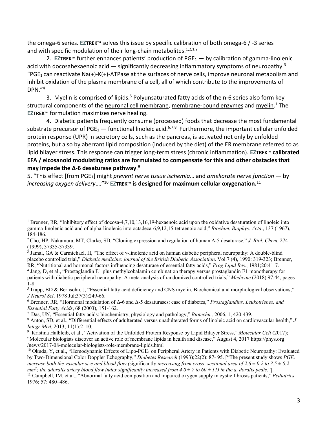the omega-6 series. **EZTREK**™ solves this issue by specific calibration of both omega-6 / -3 series and with specific modulation of their long-chain metabolites. $1,2,1,2$ 

2. **EZTREK™** further enhances patients' production of  $PGE_1$  → by calibration of gamma-linolenic acid with docosahexaenoic acid  $-$  significantly decreasing inflammatory symptoms of neuropathy.<sup>3</sup> "PGE<sub>1</sub> can reactivate Na(+)-K(+)-ATPase at the surfaces of nerve cells, improve neuronal metabolism and inhibit oxidation of the plasma membrane of a cell, all of which contribute to the improvements of  $DPN.^{"4}$ 

3. Myelin is comprised of lipids.<sup>5</sup> Polyunsaturated fatty acids of the n-6 series also form key structural components of the neuronal cell membrane, membrane-bound enzymes and myelin.<sup>1</sup> The **EZTREK**™ formulation maximizes nerve healing.

4. Diabetic patients frequently consume (processed) foods that decrease the most fundamental substrate precursor of PGE<sub>1</sub> — functional linoleic acid.<sup>6,7,8</sup> Furthermore, the important cellular unfolded protein response (UPR) in secretory cells, such as the pancreas, is activated not only by unfolded proteins, but also by aberrant lipid composition (induced by the diet) of the ER membrane referred to as lipid bilayer stress. This response can trigger long-term stress (chronic inflammation). **EZTREK**™ **calibrated EFA / eicosanoid modulating ratios are formulated to compensate for this and other obstacles that may impede the Δ-6 desaturase pathway**. 9

5. "This effect [from PGE1] might *prevent nerve tissue ischemia*… and *ameliorate nerve function* — by *increasing oxygen delivery*…."10 **EZTREK**™ **is designed for maximum cellular oxygenation.**<sup>11</sup>

<sup>7</sup> Das, UN, "Essential fatty acids: biochemistry, physiology and pathology," *Biotechn.,* 2006, 1, 420-439.

<sup>&</sup>lt;sup>1</sup> Brenner, RR, "Inhibitory effect of docosa-4,7,10,13,16,19-hexaenoic acid upon the oxidative desaturation of linoleic into gamma-linolenic acid and of alpha-linolenic into octadeca-6,9,12,15-tetraenoic acid," *Biochim. Biophys. Acta*., 137 (1967), 184-186.

<sup>2</sup> Cho, HP, Nakamura, MT, Clarke, SD, "Cloning expression and regulation of human Δ-5 desaturase," *J. Biol. Chem*, 274 (1999), 37335-37339.

<sup>&</sup>lt;sup>3</sup> Jamal, GA & Carmichael, H, "The effect of  $\gamma$ -linolenic acid on human diabetic peripheral neuropathy: A double-blind placebo controlled trial," *Diabetic medicine: journal of the British Diabetic Association*. Vol.7 (4), 1990: 319-323; Brenner, RR, "Nutritional and hormonal factors influencing desaturase of essential fatty acids," *Prog Lipid Res*., 1981;20:41-7.

<sup>4</sup> Jang, D, et al., "Prostaglandin E1 plus methylcobalamin combination therapy versus prostaglandin E1 monotherapy for patients with diabetic peripheral neuropathy: A meta-analysis of randomized controlled trials," *Medicine* (2018) 97:44, pages 1-8.

 $5$  Trapp, BD & Bernsohn, J, "Essential fatty acid deficiency and CNS myelin. Biochemical and morphological observations," *J Neurol Sci*. 1978 Jul;37(3):249-66.

<sup>6</sup> Brenner, RR, "Hormonal modulation of Δ-6 and Δ-5 desaturases: case of diabetes," *Prostaglandins, Leukotrienes, and Essential Fatty Acids*, 68 (2003), 151-162.

<sup>8</sup> Anton, SD, et al., "Differential effects of adulterated versus unadulterated forms of linoleic acid on cardiovascular health," *J Integr Med*, 2013; 11(1):2–10.

<sup>9</sup> Kristina Halbleib, et al., "Activation of the Unfolded Protein Response by Lipid Bilayer Stress," *Molecular Cell* (2017); "Molecular biologists discover an active role of membrane lipids in health and disease," August 4, 2017 https://phys.org /news/2017-08-molecular-biologists-role-membrane-lipids.html

<sup>&</sup>lt;sup>10</sup> Okuda, Y, et al., "Hemodynamic Effects of Lipo-PGE<sub>1</sub> on Peripheral Artery in Patients with Diabetic Neuropathy: Evaluated by Two-Dimensional Color Doppler Echography," *Diabetes Research* (1993);22(2): 87- 95. ["The present study shows *PGE1 increase both the vascular size and blood flow (significantly increasing from cross- sectional area of*  $2.6 \pm 0.2$  *to*  $3.5 \pm 0.2$ *mm*<sup>2</sup>; the adoralis artery blood flow index significantly increased from  $40 \pm 7$  to  $60 \pm 11$ ) in the a. doralis pedis."].

<sup>11</sup> Campbell, IM, et al., "Abnormal fatty acid composition and impaired oxygen supply in cystic fibrosis patients," *Pediatrics* 1976; 57: 480–486.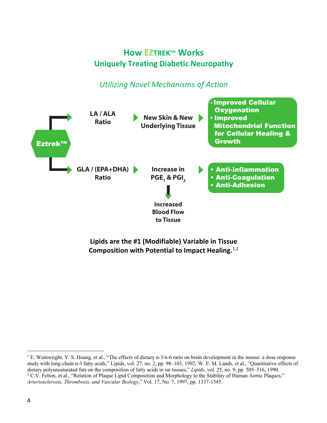### **How EZTREK**™ **Works Uniquely Treating Diabetic Neuropathy**

*Utilizing Novel Mechanisms of Action*



**Lipids are the #1 (Modifiable) Variable in Tissue Composition with Potential to Impact Healing.**1,2

<sup>&</sup>lt;sup>1</sup> E. Wainwright, Y. S. Huang, et al., "The effects of dietary n-3/n-6 ratio on brain development in the mouse: a dose response study with long-chain n-3 fatty acids," Lipids, vol. 27, no. 2, pp. 98–103, 1992; W. E. M. Lands, et al., "Quantitative effects of dietary polyunsaturated fats on the composition of fatty acids in rat tissues," *Lipids*, vol. 25, no. 9, pp. 505–516, 1990. <sup>2</sup> C.V. Felton, et al., "Relation of Plaque Lipid Composition and Morphology to the Stability of Human Aortic Plaques," *Arteriosclerosis, Thrombosis, and Vascular Biology*," Vol. 17, No. 7, 1997, pp. 1337-1345.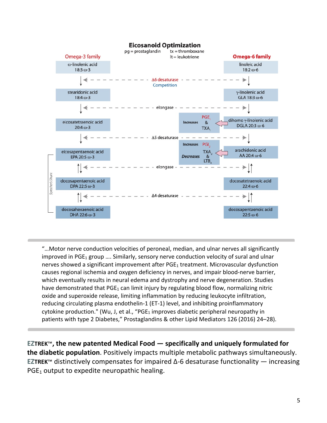

"…Motor nerve conduction velocities of peroneal, median, and ulnar nerves all significantly improved in PGE<sub>1</sub> group .... Similarly, sensory nerve conduction velocity of sural and ulnar nerves showed a significant improvement after PGE<sub>1</sub> treatment. Microvascular dysfunction causes regional ischemia and oxygen deficiency in nerves, and impair blood-nerve barrier, which eventually results in neural edema and dystrophy and nerve degeneration. Studies have demonstrated that  $PGE_1$  can limit injury by regulating blood flow, normalizing nitric oxide and superoxide release, limiting inflammation by reducing leukocyte infiltration, reducing circulating plasma endothelin-1 (ET-1) level, and inhibiting proinflammatory cytokine production." (Wu, J, et al., "PGE<sub>1</sub> improves diabetic peripheral neuropathy in patients with type 2 Diabetes," Prostaglandins & other Lipid Mediators 126 (2016) 24–28).

**EZTREK**™**, the new patented Medical Food — specifically and uniquely formulated for the diabetic population**. Positively impacts multiple metabolic pathways simultaneously. **EZTREK**™ distinctively compensates for impaired Δ-6 desaturase functionality — increasing  $PGE<sub>1</sub>$  output to expedite neuropathic healing.